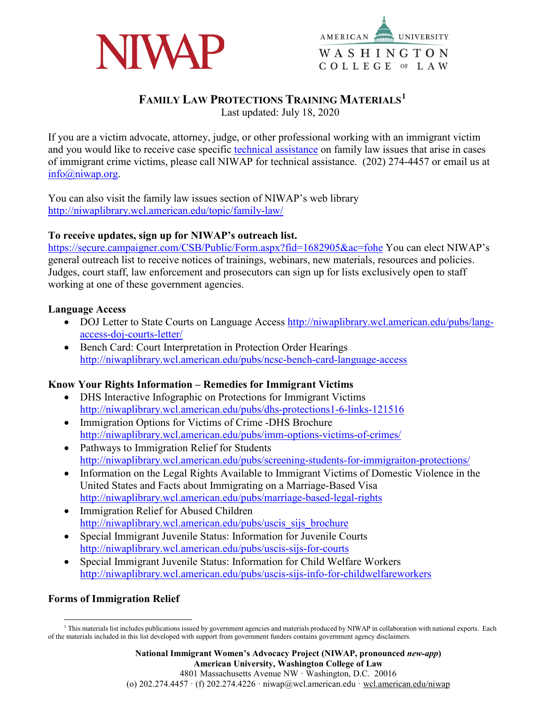



# **FAMILY LAW PROTECTIONS TRAINING MATERIALS[1](#page-0-0)**

Last updated: July 18, 2020

If you are a victim advocate, attorney, judge, or other professional working with an immigrant victim and you would like to receive case specific [technical assistance](http://niwaplibrary.wcl.american.edu/pubs/ta-immigrant-survivors/) on family law issues that arise in cases of immigrant crime victims, please call NIWAP for technical assistance. (202) 274-4457 or email us at [info@niwap.org.](mailto:info@niwap.org)

You can also visit the family law issues section of NIWAP's web library <http://niwaplibrary.wcl.american.edu/topic/family-law/>

#### **To receive updates, sign up for NIWAP's outreach list.**

<https://secure.campaigner.com/CSB/Public/Form.aspx?fid=1682905&ac=fohe> You can elect NIWAP's general outreach list to receive notices of trainings, webinars, new materials, resources and policies. Judges, court staff, law enforcement and prosecutors can sign up for lists exclusively open to staff working at one of these government agencies.

#### **Language Access**

- DOJ Letter to State Courts on Language Access [http://niwaplibrary.wcl.american.edu/pubs/lang](http://niwaplibrary.wcl.american.edu/pubs/lang-access-doj-courts-letter/)[access-doj-courts-letter/](http://niwaplibrary.wcl.american.edu/pubs/lang-access-doj-courts-letter/)
- Bench Card: Court Interpretation in Protection Order Hearings <http://niwaplibrary.wcl.american.edu/pubs/ncsc-bench-card-language-access>

#### **Know Your Rights Information – Remedies for Immigrant Victims**

- DHS Interactive Infographic on Protections for Immigrant Victims <http://niwaplibrary.wcl.american.edu/pubs/dhs-protections1-6-links-121516>
- Immigration Options for Victims of Crime -DHS Brochure <http://niwaplibrary.wcl.american.edu/pubs/imm-options-victims-of-crimes/>
- Pathways to Immigration Relief for Students <http://niwaplibrary.wcl.american.edu/pubs/screening-students-for-immigraiton-protections/>
- Information on the Legal Rights Available to Immigrant Victims of Domestic Violence in the United States and Facts about Immigrating on a Marriage-Based Visa <http://niwaplibrary.wcl.american.edu/pubs/marriage-based-legal-rights>
- Immigration Relief for Abused Children [http://niwaplibrary.wcl.american.edu/pubs/uscis\\_sijs\\_brochure](http://niwaplibrary.wcl.american.edu/pubs/uscis_sijs_brochure)
- Special Immigrant Juvenile Status: Information for Juvenile Courts <http://niwaplibrary.wcl.american.edu/pubs/uscis-sijs-for-courts>
- Special Immigrant Juvenile Status: Information for Child Welfare Workers <http://niwaplibrary.wcl.american.edu/pubs/uscis-sijs-info-for-childwelfareworkers>

#### **Forms of Immigration Relief**

<span id="page-0-0"></span><sup>&</sup>lt;sup>1</sup> This materials list includes publications issued by government agencies and materials produced by NIWAP in collaboration with national experts. Each of the materials included in this list developed with support from government funders contains government agency disclaimers.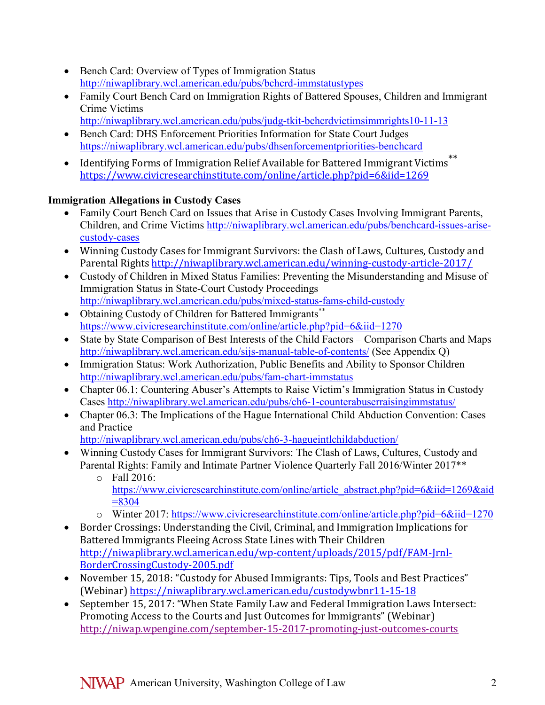- Bench Card: Overview of Types of Immigration Status <http://niwaplibrary.wcl.american.edu/pubs/bchcrd-immstatustypes>
- Family Court Bench Card on Immigration Rights of Battered Spouses, Children and Immigrant Crime Victims
	- <http://niwaplibrary.wcl.american.edu/pubs/judg-tkit-bchcrdvictimsimmrights10-11-13>
- Bench Card: DHS Enforcement Priorities Information for State Court Judges <https://niwaplibrary.wcl.american.edu/pubs/dhsenforcementpriorities-benchcard>
- Identifying Forms of Immigration Relief Available for Battered Immigrant Victims<sup>\*\*</sup> <https://www.civicresearchinstitute.com/online/article.php?pid=6&iid=1269>

# **Immigration Allegations in Custody Cases**

- Family Court Bench Card on Issues that Arise in Custody Cases Involving Immigrant Parents, Children, and Crime Victims [http://niwaplibrary.wcl.american.edu/pubs/benchcard-issues-arise](http://niwaplibrary.wcl.american.edu/pubs/benchcard-issues-arise-custody-cases)[custody-cases](http://niwaplibrary.wcl.american.edu/pubs/benchcard-issues-arise-custody-cases)
- Winning Custody Cases for Immigrant Survivors: the Clash of Laws, Cultures, Custody and Parental Rights <http://niwaplibrary.wcl.american.edu/winning-custody-article-2017/>
- Custody of Children in Mixed Status Families: Preventing the Misunderstanding and Misuse of Immigration Status in State-Court Custody Proceedings <http://niwaplibrary.wcl.american.edu/pubs/mixed-status-fams-child-custody>
- Obtaining Custody of Children for Battered Immigrants\*\* <https://www.civicresearchinstitute.com/online/article.php?pid=6&iid=1270>
- State by State Comparison of Best Interests of the Child Factors Comparison Charts and Maps <http://niwaplibrary.wcl.american.edu/sijs-manual-table-of-contents/> (See Appendix Q)
- Immigration Status: Work Authorization, Public Benefits and Ability to Sponsor Children <http://niwaplibrary.wcl.american.edu/pubs/fam-chart-immstatus>
- Chapter 06.1: Countering Abuser's Attempts to Raise Victim's Immigration Status in Custody Cases <http://niwaplibrary.wcl.american.edu/pubs/ch6-1-counterabuserraisingimmstatus/>
- Chapter 06.3: The Implications of the Hague International Child Abduction Convention: Cases and Practice

<http://niwaplibrary.wcl.american.edu/pubs/ch6-3-hagueintlchildabduction/>

- Winning Custody Cases for Immigrant Survivors: The Clash of Laws, Cultures, Custody and Parental Rights: Family and Intimate Partner Violence Quarterly Fall 2016/Winter 2017\*\*
	- o Fall 2016: [https://www.civicresearchinstitute.com/online/article\\_abstract.php?pid=6&iid=1269&aid](https://www.civicresearchinstitute.com/online/article_abstract.php?pid=6&iid=1269&aid=8304)  $= 8304$
	- o Winter 2017:<https://www.civicresearchinstitute.com/online/article.php?pid=6&iid=1270>
- Border Crossings: Understanding the Civil, Criminal, and Immigration Implications for Battered Immigrants Fleeing Across State Lines with Their Children [http://niwaplibrary.wcl.american.edu/wp-content/uploads/2015/pdf/FAM-Jrnl-](http://niwaplibrary.wcl.american.edu/wp-content/uploads/2015/pdf/FAM-Jrnl-BorderCrossingCustody-2005.pdf)[BorderCrossingCustody-2005.pdf](http://niwaplibrary.wcl.american.edu/wp-content/uploads/2015/pdf/FAM-Jrnl-BorderCrossingCustody-2005.pdf)
- November 15, 2018: "Custody for Abused Immigrants: Tips, Tools and Best Practices" (Webinar) <https://niwaplibrary.wcl.american.edu/custodywbnr11-15-18>
- September 15, 2017: "When State Family Law and Federal Immigration Laws Intersect: Promoting Access to the Courts and Just Outcomes for Immigrants" (Webinar) <http://niwap.wpengine.com/september-15-2017-promoting-just-outcomes-courts>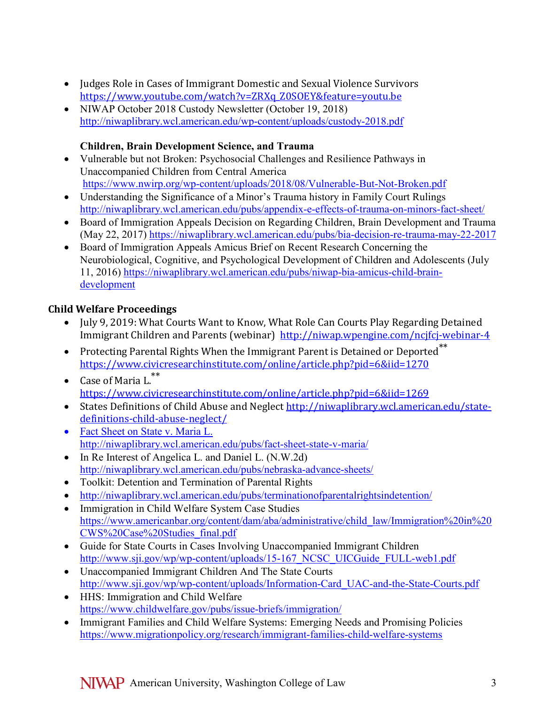- Judges Role in Cases of Immigrant Domestic and Sexual Violence Survivors [https://www.youtube.com/watch?v=ZRXq\\_Z0SOEY&feature=youtu.be](https://www.youtube.com/watch?v=ZRXq_Z0SOEY&feature=youtu.be)
- NIWAP October 2018 Custody Newsletter (October 19, 2018) <http://niwaplibrary.wcl.american.edu/wp-content/uploads/custody-2018.pdf>

### **Children, Brain Development Science, and Trauma**

- Vulnerable but not Broken: Psychosocial Challenges and Resilience Pathways in Unaccompanied Children from Central America <https://www.nwirp.org/wp-content/uploads/2018/08/Vulnerable-But-Not-Broken.pdf>
- Understanding the Significance of a Minor's Trauma history in Family Court Rulings <http://niwaplibrary.wcl.american.edu/pubs/appendix-e-effects-of-trauma-on-minors-fact-sheet/>
- Board of Immigration Appeals Decision on Regarding Children, Brain Development and Trauma (May 22, 2017)<https://niwaplibrary.wcl.american.edu/pubs/bia-decision-re-trauma-may-22-2017>
- Board of Immigration Appeals Amicus Brief on Recent Research Concerning the Neurobiological, Cognitive, and Psychological Development of Children and Adolescents (July 11, 2016) [https://niwaplibrary.wcl.american.edu/pubs/niwap-bia-amicus-child-brain](https://niwaplibrary.wcl.american.edu/pubs/niwap-bia-amicus-child-brain-development)[development](https://niwaplibrary.wcl.american.edu/pubs/niwap-bia-amicus-child-brain-development)

# **Child Welfare Proceedings**

- July 9, 2019: What Courts Want to Know, What Role Can Courts Play Regarding Detained Immigrant Children and Parents (webinar) <http://niwap.wpengine.com/ncjfcj-webinar-4>
- Protecting Parental Rights When the Immigrant Parent is Detained or Deported<sup>\*\*</sup> <https://www.civicresearchinstitute.com/online/article.php?pid=6&iid=1270>
- Case of Maria L.\*\* <https://www.civicresearchinstitute.com/online/article.php?pid=6&iid=1269>
- States Definitions of Child Abuse and Neglect [http://niwaplibrary.wcl.american.edu/state](http://niwaplibrary.wcl.american.edu/state-definitions-child-abuse-neglect/)[definitions-child-abuse-neglect/](http://niwaplibrary.wcl.american.edu/state-definitions-child-abuse-neglect/)
- Fact Sheet on State v. Maria L. <http://niwaplibrary.wcl.american.edu/pubs/fact-sheet-state-v-maria/>
- In Re Interest of Angelica L. and Daniel L. (N.W.2d) <http://niwaplibrary.wcl.american.edu/pubs/nebraska-advance-sheets/>
- Toolkit: Detention and Termination of Parental Rights
- <http://niwaplibrary.wcl.american.edu/pubs/terminationofparentalrightsindetention/>
- Immigration in Child Welfare System Case Studies [https://www.americanbar.org/content/dam/aba/administrative/child\\_law/Immigration%20in%20](https://www.americanbar.org/content/dam/aba/administrative/child_law/Immigration%20in%20CWS%20Case%20Studies_final.pdf) [CWS%20Case%20Studies\\_final.pdf](https://www.americanbar.org/content/dam/aba/administrative/child_law/Immigration%20in%20CWS%20Case%20Studies_final.pdf)
- Guide for State Courts in Cases Involving Unaccompanied Immigrant Children http://www.sji.gov/wp/wp-content/uploads/15-167 NCSC UICGuide FULL-web1.pdf
- Unaccompanied Immigrant Children And The State Courts [http://www.sji.gov/wp/wp-content/uploads/Information-Card\\_UAC-and-the-State-Courts.pdf](http://www.sji.gov/wp/wp-content/uploads/Information-Card_UAC-and-the-State-Courts.pdf)
- HHS: Immigration and Child Welfare <https://www.childwelfare.gov/pubs/issue-briefs/immigration/>
- Immigrant Families and Child Welfare Systems: Emerging Needs and Promising Policies <https://www.migrationpolicy.org/research/immigrant-families-child-welfare-systems>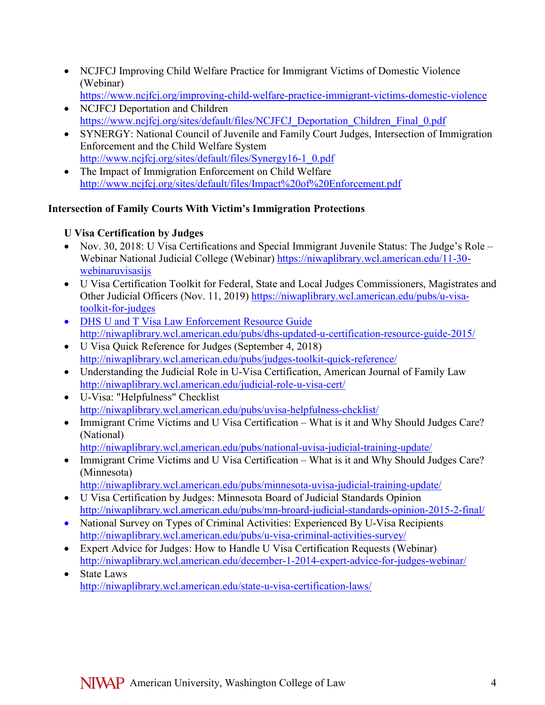- NCJFCJ Improving Child Welfare Practice for Immigrant Victims of Domestic Violence (Webinar)
- <https://www.ncjfcj.org/improving-child-welfare-practice-immigrant-victims-domestic-violence> • NCJFCJ Deportation and Children
- [https://www.ncjfcj.org/sites/default/files/NCJFCJ\\_Deportation\\_Children\\_Final\\_0.pdf](https://www.ncjfcj.org/sites/default/files/NCJFCJ_Deportation_Children_Final_0.pdf)
- SYNERGY: National Council of Juvenile and Family Court Judges, Intersection of Immigration Enforcement and the Child Welfare System [http://www.ncjfcj.org/sites/default/files/Synergy16-1\\_0.pdf](http://www.ncjfcj.org/sites/default/files/Synergy16-1_0.pdf)
- The Impact of Immigration Enforcement on Child Welfare <http://www.ncjfcj.org/sites/default/files/Impact%20of%20Enforcement.pdf>

### **Intersection of Family Courts With Victim's Immigration Protections**

#### **U Visa Certification by Judges**

- Nov. 30, 2018: U Visa Certifications and Special Immigrant Juvenile Status: The Judge's Role Webinar National Judicial College (Webinar) [https://niwaplibrary.wcl.american.edu/11-30](https://niwaplibrary.wcl.american.edu/11-30-webinaruvisasijs) [webinaruvisasijs](https://niwaplibrary.wcl.american.edu/11-30-webinaruvisasijs)
- U Visa Certification Toolkit for Federal, State and Local Judges Commissioners, Magistrates and Other Judicial Officers (Nov. 11, 2019) [https://niwaplibrary.wcl.american.edu/pubs/u-visa](https://niwaplibrary.wcl.american.edu/pubs/u-visa-toolkit-for-judges)[toolkit-for-judges](https://niwaplibrary.wcl.american.edu/pubs/u-visa-toolkit-for-judges)
- DHS U and T Visa Law Enforcement Resource Guide <http://niwaplibrary.wcl.american.edu/pubs/dhs-updated-u-certification-resource-guide-2015/>
- U Visa Quick Reference for Judges (September 4, 2018) <http://niwaplibrary.wcl.american.edu/pubs/judges-toolkit-quick-reference/>
- Understanding the Judicial Role in U-Visa Certification, American Journal of Family Law <http://niwaplibrary.wcl.american.edu/judicial-role-u-visa-cert/>
- U-Visa: "Helpfulness" Checklist <http://niwaplibrary.wcl.american.edu/pubs/uvisa-helpfulness-chcklist/>
- Immigrant Crime Victims and U Visa Certification What is it and Why Should Judges Care? (National)

<http://niwaplibrary.wcl.american.edu/pubs/national-uvisa-judicial-training-update/>

• Immigrant Crime Victims and U Visa Certification – What is it and Why Should Judges Care? (Minnesota)

<http://niwaplibrary.wcl.american.edu/pubs/minnesota-uvisa-judicial-training-update/>

- U Visa Certification by Judges: Minnesota Board of Judicial Standards Opinion <http://niwaplibrary.wcl.american.edu/pubs/mn-broard-judicial-standards-opinion-2015-2-final/>
- National Survey on Types of Criminal Activities: Experienced By U-Visa Recipients <http://niwaplibrary.wcl.american.edu/pubs/u-visa-criminal-activities-survey/>
- Expert Advice for Judges: How to Handle U Visa Certification Requests (Webinar) <http://niwaplibrary.wcl.american.edu/december-1-2014-expert-advice-for-judges-webinar/>
- State Laws <http://niwaplibrary.wcl.american.edu/state-u-visa-certification-laws/>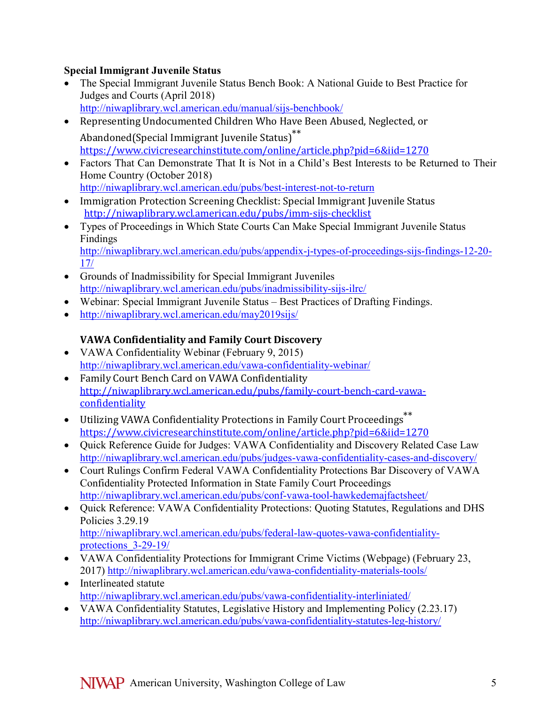### **Special Immigrant Juvenile Status**

- The Special Immigrant Juvenile Status Bench Book: A National Guide to Best Practice for Judges and Courts (April 2018) <http://niwaplibrary.wcl.american.edu/manual/sijs-benchbook/>
- Representing Undocumented Children Who Have Been Abused, Neglected, or Abandoned(Special Immigrant Juvenile Status)\*\* <https://www.civicresearchinstitute.com/online/article.php?pid=6&iid=1270>
- Factors That Can Demonstrate That It is Not in a Child's Best Interests to be Returned to Their Home Country (October 2018)
- <http://niwaplibrary.wcl.american.edu/pubs/best-interest-not-to-return>
- Immigration Protection Screening Checklist: Special Immigrant Juvenile Status <http://niwaplibrary.wcl.american.edu/pubs/imm-sijs-checklist>
- Types of Proceedings in Which State Courts Can Make Special Immigrant Juvenile Status Findings

[http://niwaplibrary.wcl.american.edu/pubs/appendix-j-types-of-proceedings-sijs-findings-12-20-](http://niwaplibrary.wcl.american.edu/pubs/appendix-j-types-of-proceedings-sijs-findings-12-20-17/) [17/](http://niwaplibrary.wcl.american.edu/pubs/appendix-j-types-of-proceedings-sijs-findings-12-20-17/)

- Grounds of Inadmissibility for Special Immigrant Juveniles <http://niwaplibrary.wcl.american.edu/pubs/inadmissibility-sijs-ilrc/>
- Webinar: Special Immigrant Juvenile Status Best Practices of Drafting Findings.
- <http://niwaplibrary.wcl.american.edu/may2019sijs/>

# **VAWA Confidentiality and Family Court Discovery**

- [VAWA Confidentiality Webinar](http://niwaplibrary.wcl.american.edu/vawa-confidentiality-webinar/) (February 9, 2015) <http://niwaplibrary.wcl.american.edu/vawa-confidentiality-webinar/>
- Family Court Bench Card on VAWA Confidentiality [http://niwaplibrary.wcl.american.edu/pubs/family-court-bench-card-vawa](http://niwaplibrary.wcl.american.edu/pubs/family-court-bench-card-vawa-confidentiality)[confidentiality](http://niwaplibrary.wcl.american.edu/pubs/family-court-bench-card-vawa-confidentiality)
- Utilizing VAWA Confidentiality Protections in Family Court Proceedings\*\* <https://www.civicresearchinstitute.com/online/article.php?pid=6&iid=1270>
- Quick Reference Guide for Judges: VAWA Confidentiality and Discovery Related Case Law <http://niwaplibrary.wcl.american.edu/pubs/judges-vawa-confidentiality-cases-and-discovery/>
- Court Rulings Confirm Federal VAWA Confidentiality Protections Bar Discovery of VAWA Confidentiality Protected Information in State Family Court Proceedings <http://niwaplibrary.wcl.american.edu/pubs/conf-vawa-tool-hawkedemajfactsheet/>
- Quick Reference: VAWA Confidentiality Protections: Quoting Statutes, Regulations and DHS Policies 3.29.19 [http://niwaplibrary.wcl.american.edu/pubs/federal-law-quotes-vawa-confidentiality](http://niwaplibrary.wcl.american.edu/pubs/federal-law-quotes-vawa-confidentiality-protections_3-29-19/)[protections\\_3-29-19/](http://niwaplibrary.wcl.american.edu/pubs/federal-law-quotes-vawa-confidentiality-protections_3-29-19/)
- VAWA Confidentiality Protections for Immigrant Crime Victims (Webpage) (February 23, 2017)<http://niwaplibrary.wcl.american.edu/vawa-confidentiality-materials-tools/>
- Interlineated statute <http://niwaplibrary.wcl.american.edu/pubs/vawa-confidentiality-interliniated/>
- VAWA Confidentiality Statutes, Legislative History and Implementing Policy (2.23.17) <http://niwaplibrary.wcl.american.edu/pubs/vawa-confidentiality-statutes-leg-history/>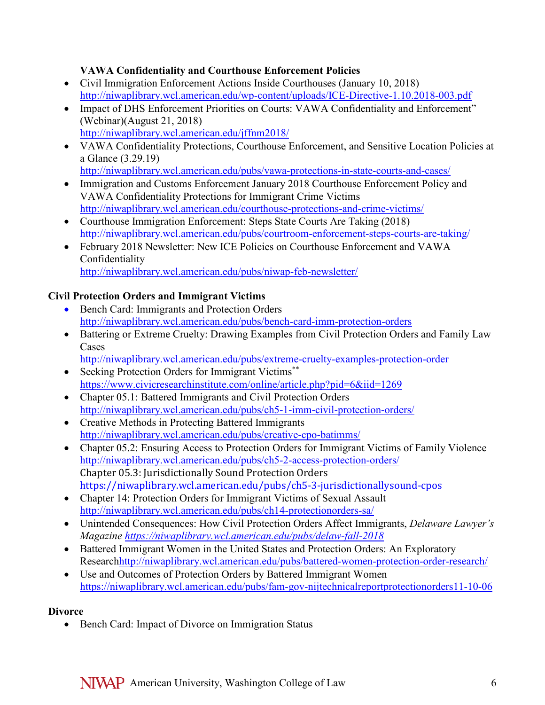### **VAWA Confidentiality and Courthouse Enforcement Policies**

- Civil Immigration Enforcement Actions Inside Courthouses (January 10, 2018) <http://niwaplibrary.wcl.american.edu/wp-content/uploads/ICE-Directive-1.10.2018-003.pdf>
- Impact of DHS Enforcement Priorities on Courts: VAWA Confidentiality and Enforcement" (Webinar)(August 21, 2018) <http://niwaplibrary.wcl.american.edu/jffnm2018/>
- VAWA Confidentiality Protections, Courthouse Enforcement, and Sensitive Location Policies at a Glance (3.29.19) <http://niwaplibrary.wcl.american.edu/pubs/vawa-protections-in-state-courts-and-cases/>
- Immigration and Customs Enforcement January 2018 Courthouse Enforcement Policy and VAWA Confidentiality Protections for Immigrant Crime Victims <http://niwaplibrary.wcl.american.edu/courthouse-protections-and-crime-victims/>
- Courthouse Immigration Enforcement: Steps State Courts Are Taking (2018) <http://niwaplibrary.wcl.american.edu/pubs/courtroom-enforcement-steps-courts-are-taking/>
- February 2018 Newsletter: New ICE Policies on Courthouse Enforcement and VAWA Confidentiality <http://niwaplibrary.wcl.american.edu/pubs/niwap-feb-newsletter/>

# **Civil Protection Orders and Immigrant Victims**

- Bench Card: Immigrants and Protection Orders <http://niwaplibrary.wcl.american.edu/pubs/bench-card-imm-protection-orders>
- Battering or Extreme Cruelty: Drawing Examples from Civil Protection Orders and Family Law Cases
	- <http://niwaplibrary.wcl.american.edu/pubs/extreme-cruelty-examples-protection-order>
- Seeking Protection Orders for Immigrant Victims\*\* <https://www.civicresearchinstitute.com/online/article.php?pid=6&iid=1269>
- Chapter 05.1: Battered Immigrants and Civil Protection Orders <http://niwaplibrary.wcl.american.edu/pubs/ch5-1-imm-civil-protection-orders/>
- Creative Methods in Protecting Battered Immigrants <http://niwaplibrary.wcl.american.edu/pubs/creative-cpo-batimms/>
- Chapter 05.2: Ensuring Access to Protection Orders for Immigrant Victims of Family Violence <http://niwaplibrary.wcl.american.edu/pubs/ch5-2-access-protection-orders/> Chapter 05.3: Jurisdictionally Sound Protection Orders <https://niwaplibrary.wcl.american.edu/pubs/ch5-3-jurisdictionallysound-cpos>
- Chapter 14: Protection Orders for Immigrant Victims of Sexual Assault <http://niwaplibrary.wcl.american.edu/pubs/ch14-protectionorders-sa/>
- Unintended Consequences: How Civil Protection Orders Affect Immigrants, *Delaware Lawyer's Magazine<https://niwaplibrary.wcl.american.edu/pubs/delaw-fall-2018>*
- Battered Immigrant Women in the United States and Protection Orders: An Exploratory Researc[hhttp://niwaplibrary.wcl.american.edu/pubs/battered-women-protection-order-research/](http://niwaplibrary.wcl.american.edu/pubs/battered-women-protection-order-research/)
- Use and Outcomes of Protection Orders by Battered Immigrant Women <https://niwaplibrary.wcl.american.edu/pubs/fam-gov-nijtechnicalreportprotectionorders11-10-06>

# **Divorce**

• Bench Card: Impact of Divorce on Immigration Status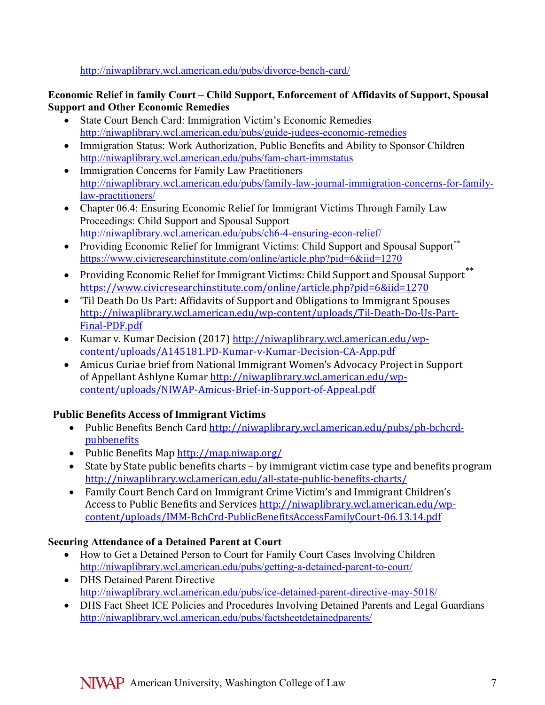<http://niwaplibrary.wcl.american.edu/pubs/divorce-bench-card/>

### **Economic Relief in family Court – Child Support, Enforcement of Affidavits of Support, Spousal Support and Other Economic Remedies**

- State Court Bench Card: Immigration Victim's Economic Remedies <http://niwaplibrary.wcl.american.edu/pubs/guide-judges-economic-remedies>
- Immigration Status: Work Authorization, Public Benefits and Ability to Sponsor Children <http://niwaplibrary.wcl.american.edu/pubs/fam-chart-immstatus>
- [Immigration Concerns for Family Law Practitioners](http://library.niwap.org/wp-content/uploads/Family-Law-Journal-Immigration-Concerns-for-Family-Law-Practitioners.pdf) [http://niwaplibrary.wcl.american.edu/pubs/family-law-journal-immigration-concerns-for-family](http://niwaplibrary.wcl.american.edu/pubs/family-law-journal-immigration-concerns-for-family-law-practitioners/)[law-practitioners/](http://niwaplibrary.wcl.american.edu/pubs/family-law-journal-immigration-concerns-for-family-law-practitioners/)
- Chapter 06.4: Ensuring Economic Relief for Immigrant Victims Through Family Law Proceedings: Child Support and Spousal Support <http://niwaplibrary.wcl.american.edu/pubs/ch6-4-ensuring-econ-relief/>
- Providing Economic Relief for Immigrant Victims: Child Support and Spousal Support<sup>\*\*</sup> <https://www.civicresearchinstitute.com/online/article.php?pid=6&iid=1270>
- Providing Economic Relief for Immigrant Victims: Child Support and Spousal Support\*\* <https://www.civicresearchinstitute.com/online/article.php?pid=6&iid=1270>
- 'Til Death Do Us Part: Affidavits of Support and Obligations to Immigrant Spouses [http://niwaplibrary.wcl.american.edu/wp-content/uploads/Til-Death-Do-Us-Part-](http://niwaplibrary.wcl.american.edu/wp-content/uploads/Til-Death-Do-Us-Part-Final-PDF.pdf)[Final-PDF.pdf](http://niwaplibrary.wcl.american.edu/wp-content/uploads/Til-Death-Do-Us-Part-Final-PDF.pdf)
- Kumar v. Kumar Decision (2017) [http://niwaplibrary.wcl.american.edu/wp](http://niwaplibrary.wcl.american.edu/wp-content/uploads/A145181.PD-Kumar-v-Kumar-Decision-CA-App.pdf)[content/uploads/A145181.PD-Kumar-v-Kumar-Decision-CA-App.pdf](http://niwaplibrary.wcl.american.edu/wp-content/uploads/A145181.PD-Kumar-v-Kumar-Decision-CA-App.pdf)
- Amicus Curiae brief from National Immigrant Women's Advocacy Project in Support of Appellant Ashlyne Kumar [http://niwaplibrary.wcl.american.edu/wp](http://niwaplibrary.wcl.american.edu/wp-content/uploads/NIWAP-Amicus-Brief-in-Support-of-Appeal.pdf)[content/uploads/NIWAP-Amicus-Brief-in-Support-of-Appeal.pdf](http://niwaplibrary.wcl.american.edu/wp-content/uploads/NIWAP-Amicus-Brief-in-Support-of-Appeal.pdf)

# **Public Benefits Access of Immigrant Victims**

- Public Benefits Bench Card [http://niwaplibrary.wcl.american.edu/pubs/pb-bchcrd](http://niwaplibrary.wcl.american.edu/pubs/pb-bchcrd-pubbenefits)[pubbenefits](http://niwaplibrary.wcl.american.edu/pubs/pb-bchcrd-pubbenefits)
- Public Benefits Map <http://map.niwap.org/>
- State by State public benefits charts by immigrant victim case type and benefits program <http://niwaplibrary.wcl.american.edu/all-state-public-benefits-charts/>
- Family Court Bench Card on Immigrant Crime Victim's and Immigrant Children's Access to Public Benefits and Services [http://niwaplibrary.wcl.american.edu/wp](http://niwaplibrary.wcl.american.edu/wp-content/uploads/IMM-BchCrd-PublicBenefitsAccessFamilyCourt-06.13.14.pdf)[content/uploads/IMM-BchCrd-PublicBenefitsAccessFamilyCourt-06.13.14.pdf](http://niwaplibrary.wcl.american.edu/wp-content/uploads/IMM-BchCrd-PublicBenefitsAccessFamilyCourt-06.13.14.pdf)

# **Securing Attendance of a Detained Parent at Court**

- How to Get a Detained Person to Court for Family Court Cases Involving Children <http://niwaplibrary.wcl.american.edu/pubs/getting-a-detained-parent-to-court/>
- DHS Detained Parent Directive <http://niwaplibrary.wcl.american.edu/pubs/ice-detained-parent-directive-may-5018/>
- DHS Fact Sheet ICE Policies and Procedures Involving Detained Parents and Legal Guardians <http://niwaplibrary.wcl.american.edu/pubs/factsheetdetainedparents/>